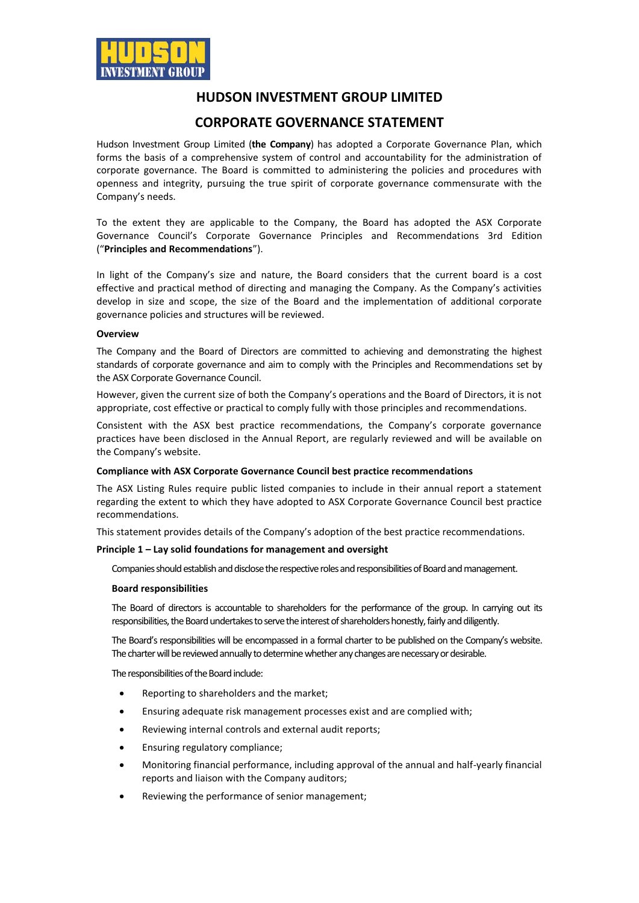

# **HUDSON INVESTMENT GROUP LIMITED**

# **CORPORATE GOVERNANCE STATEMENT**

Hudson Investment Group Limited (**the Company**) has adopted a Corporate Governance Plan, which forms the basis of a comprehensive system of control and accountability for the administration of corporate governance. The Board is committed to administering the policies and procedures with openness and integrity, pursuing the true spirit of corporate governance commensurate with the Company's needs.

To the extent they are applicable to the Company, the Board has adopted the ASX Corporate Governance Council's Corporate Governance Principles and Recommendations 3rd Edition ("**Principles and Recommendations**").

In light of the Company's size and nature, the Board considers that the current board is a cost effective and practical method of directing and managing the Company. As the Company's activities develop in size and scope, the size of the Board and the implementation of additional corporate governance policies and structures will be reviewed.

#### **Overview**

The Company and the Board of Directors are committed to achieving and demonstrating the highest standards of corporate governance and aim to comply with the Principles and Recommendations set by the ASX Corporate Governance Council.

However, given the current size of both the Company's operations and the Board of Directors, it is not appropriate, cost effective or practical to comply fully with those principles and recommendations.

Consistent with the ASX best practice recommendations, the Company's corporate governance practices have been disclosed in the Annual Report, are regularly reviewed and will be available on the Company's website.

## **Compliance with ASX Corporate Governance Council best practice recommendations**

The ASX Listing Rules require public listed companies to include in their annual report a statement regarding the extent to which they have adopted to ASX Corporate Governance Council best practice recommendations.

This statement provides details of the Company's adoption of the best practice recommendations.

## **Principle 1 – Lay solid foundations for management and oversight**

Companies should establish and disclose the respective roles and responsibilities of Board and management.

#### **Board responsibilities**

The Board of directors is accountable to shareholders for the performance of the group. In carrying out its responsibilities, the Board undertakes to serve the interest of shareholders honestly, fairly and diligently.

The Board's responsibilities will be encompassed in a formal charter to be published on the Company's website. The charter will be reviewed annually to determine whether any changes are necessary or desirable.

The responsibilities of the Board include:

- Reporting to shareholders and the market;
- Ensuring adequate risk management processes exist and are complied with;
- Reviewing internal controls and external audit reports;
- Ensuring regulatory compliance;
- Monitoring financial performance, including approval of the annual and half-yearly financial reports and liaison with the Company auditors;
- Reviewing the performance of senior management;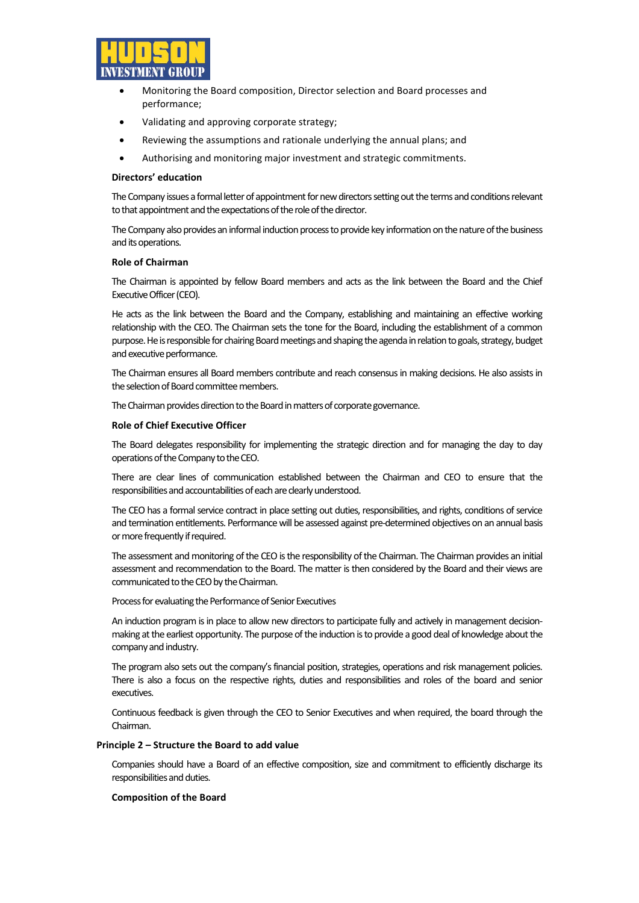

- Monitoring the Board composition, Director selection and Board processes and performance;
- Validating and approving corporate strategy;
- Reviewing the assumptions and rationale underlying the annual plans; and
- Authorising and monitoring major investment and strategic commitments.

### **Directors' education**

The Company issues a formal letter of appointment for new directors setting out the terms and conditions relevant to that appointment and the expectations of the role of the director.

The Company also provides an informal induction process to provide key information on the nature of the business and its operations.

#### **Role of Chairman**

The Chairman is appointed by fellow Board members and acts as the link between the Board and the Chief Executive Officer (CEO).

He acts as the link between the Board and the Company, establishing and maintaining an effective working relationship with the CEO. The Chairman sets the tone for the Board, including the establishment of a common purpose. He is responsible for chairing Board meetings and shaping the agenda in relation togoals, strategy, budget and executive performance.

The Chairman ensures all Board members contribute and reach consensus in making decisions. He also assists in the selection of Board committee members.

The Chairman provides direction to the Board in matters of corporate governance.

#### **Role of Chief Executive Officer**

The Board delegates responsibility for implementing the strategic direction and for managing the day to day operations of the Company to the CEO.

There are clear lines of communication established between the Chairman and CEO to ensure that the responsibilities and accountabilities of each are clearly understood.

The CEO has a formal service contract in place setting out duties, responsibilities, and rights, conditions of service and termination entitlements. Performance will be assessed against pre-determined objectives on an annual basis or more frequently if required.

The assessment and monitoring of the CEO is the responsibility of the Chairman. The Chairman provides an initial assessment and recommendation to the Board. The matter is then considered by the Board and their views are communicated to the CEO by the Chairman.

Process for evaluating the Performance of Senior Executives

An induction program is in place to allow new directors to participate fully and actively in management decisionmaking at the earliest opportunity. The purpose of the induction is to provide a good deal of knowledge about the company and industry.

The program also sets out the company's financial position, strategies, operations and risk management policies. There is also a focus on the respective rights, duties and responsibilities and roles of the board and senior executives.

Continuous feedback is given through the CEO to Senior Executives and when required, the board through the Chairman.

#### **Principle 2 – Structure the Board to add value**

Companies should have a Board of an effective composition, size and commitment to efficiently discharge its responsibilities and duties.

#### **Composition of the Board**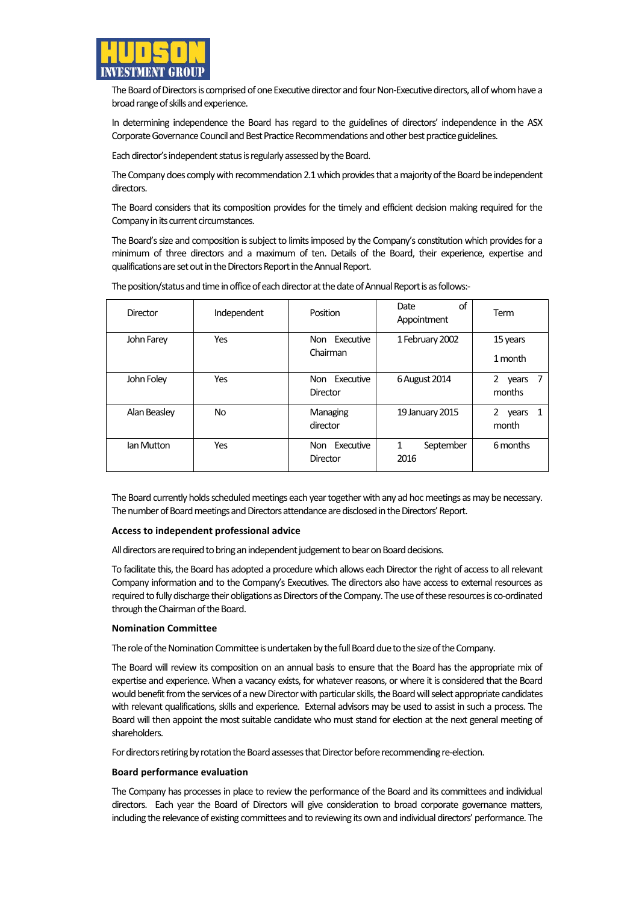

The Board of Directors is comprised of one Executive director and four Non-Executive directors, all of whom have a broad range of skills and experience.

In determining independence the Board has regard to the guidelines of directors' independence in the ASX Corporate Governance Council and Best Practice Recommendations and other best practice guidelines.

Each director's independent status is regularly assessed by the Board.

The Company does comply with recommendation 2.1 which provides that a majority of the Board be independent directors.

The Board considers that its composition provides for the timely and efficient decision making required for the Company in its current circumstances.

The Board's size and composition is subject to limits imposed by the Company's constitution which provides for a minimum of three directors and a maximum of ten. Details of the Board, their experience, expertise and qualifications are set out in the Directors Report in the Annual Report.

| Director     | Independent | Position                     | οf<br>Date<br>Appointment | Term                                |
|--------------|-------------|------------------------------|---------------------------|-------------------------------------|
| John Farey   | Yes         | Non Executive<br>Chairman    | 1 February 2002           | 15 years<br>1 month                 |
| John Foley   | Yes         | Executive<br>Non<br>Director | 6 August 2014             | $\overline{2}$<br>years<br>months   |
| Alan Beasley | No          | Managing<br>director         | 19 January 2015           | $\mathbf{2}$<br>vears<br>1<br>month |
| lan Mutton   | Yes         | Executive<br>Non<br>Director | September<br>1<br>2016    | 6 months                            |

The position/status and time in office of each director at the date of Annual Report is as follows:-

The Board currently holds scheduled meetings each year together with any ad hoc meetings as may be necessary. The number of Board meetings and Directors attendance are disclosed in the Directors' Report.

#### **Access to independent professional advice**

All directors are required to bring an independent judgement to bear on Board decisions.

To facilitate this, the Board has adopted a procedure which allows each Director the right of access to all relevant Company information and to the Company's Executives. The directors also have access to external resources as required to fully discharge their obligations as Directors of the Company. The use of these resources is co-ordinated through the Chairman of the Board.

#### **Nomination Committee**

The role of the Nomination Committee is undertaken by the full Board due to the size of the Company.

The Board will review its composition on an annual basis to ensure that the Board has the appropriate mix of expertise and experience. When a vacancy exists, for whatever reasons, or where it is considered that the Board would benefit from the services of a new Director with particular skills, the Board will select appropriate candidates with relevant qualifications, skills and experience. External advisors may be used to assist in such a process. The Board will then appoint the most suitable candidate who must stand for election at the next general meeting of shareholders.

For directors retiring by rotation the Board assesses that Director before recommending re-election.

#### **Board performance evaluation**

The Company has processes in place to review the performance of the Board and its committees and individual directors. Each year the Board of Directors will give consideration to broad corporate governance matters, including the relevance of existing committees and to reviewing its own and individual directors' performance. The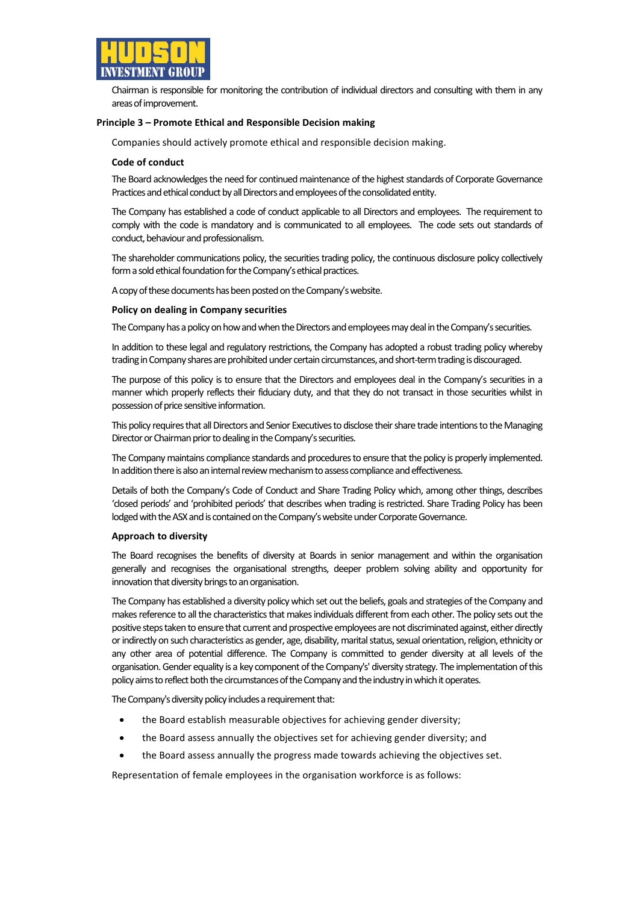

Chairman is responsible for monitoring the contribution of individual directors and consulting with them in any areas of improvement.

#### **Principle 3 – Promote Ethical and Responsible Decision making**

Companies should actively promote ethical and responsible decision making.

#### **Code of conduct**

The Board acknowledges the need for continued maintenance of the highest standards of Corporate Governance Practices and ethical conduct by all Directors and employees of the consolidated entity.

The Company has established a code of conduct applicable to all Directors and employees. The requirement to comply with the code is mandatory and is communicated to all employees. The code sets out standards of conduct, behaviour and professionalism.

The shareholder communications policy, the securities trading policy, the continuous disclosure policy collectively form a sold ethical foundation for the Company's ethical practices.

A copy of these documents has been posted on the Company's website.

#### **Policy on dealing in Company securities**

The Company has a policy on how and when the Directors and employees may deal in the Company's securities.

In addition to these legal and regulatory restrictions, the Company has adopted a robust trading policy whereby trading in Company shares are prohibited under certain circumstances, and short-term trading is discouraged.

The purpose of this policy is to ensure that the Directors and employees deal in the Company's securities in a manner which properly reflects their fiduciary duty, and that they do not transact in those securities whilst in possession of price sensitive information.

This policy requires that all Directors and Senior Executives to disclose their share trade intentions to the Managing Director or Chairman prior to dealing in the Company's securities.

The Company maintains compliance standards and procedures to ensure that the policy is properly implemented. In addition there is also an internal review mechanism to assess compliance and effectiveness.

Details of both the Company's Code of Conduct and Share Trading Policy which, among other things, describes 'closed periods' and 'prohibited periods' that describes when trading is restricted. Share Trading Policy has been lodged with the ASX and is contained on the Company's website under Corporate Governance.

#### **Approach to diversity**

The Board recognises the benefits of diversity at Boards in senior management and within the organisation generally and recognises the organisational strengths, deeper problem solving ability and opportunity for innovation that diversity brings to an organisation.

The Company has established a diversity policy which set out the beliefs, goals and strategies of the Company and makes reference to all the characteristics that makes individuals different from each other. The policy sets out the positive steps taken to ensure that current and prospective employees are not discriminated against, either directly or indirectly on such characteristics as gender, age, disability, marital status, sexual orientation, religion, ethnicity or any other area of potential difference. The Company is committed to gender diversity at all levels of the organisation.Gender equality is a key component ofthe Company's' diversity strategy. The implementation ofthis policy aims to reflect both the circumstances of the Company and the industry in which it operates.

The Company's diversity policy includes a requirement that:

- the Board establish measurable objectives for achieving gender diversity;
- the Board assess annually the objectives set for achieving gender diversity; and
- the Board assess annually the progress made towards achieving the objectives set.

Representation of female employees in the organisation workforce is as follows: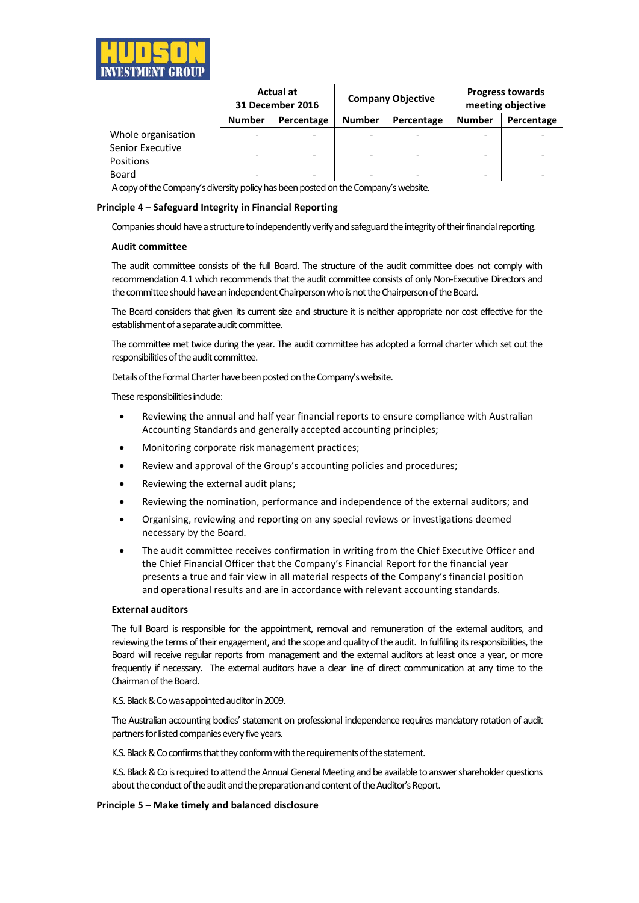

|                               | <b>Actual at</b><br>31 December 2016 |            | <b>Company Objective</b> |                          | <b>Progress towards</b><br>meeting objective |            |
|-------------------------------|--------------------------------------|------------|--------------------------|--------------------------|----------------------------------------------|------------|
|                               | <b>Number</b>                        | Percentage | <b>Number</b>            | Percentage               | <b>Number</b>                                | Percentage |
| Whole organisation            | $\overline{\phantom{a}}$             |            |                          |                          |                                              |            |
| Senior Executive<br>Positions | $\overline{\phantom{a}}$             |            | -                        |                          | -                                            |            |
| Board                         | $\overline{\phantom{a}}$             |            | $\overline{\phantom{0}}$ | $\overline{\phantom{0}}$ | -                                            |            |

A copy of the Company's diversity policy has been posted on the Company's website.

#### **Principle 4 – Safeguard Integrity in Financial Reporting**

Companies should have a structure to independently verify and safeguard the integrity of their financial reporting.

#### **Audit committee**

The audit committee consists of the full Board. The structure of the audit committee does not comply with recommendation 4.1 which recommendsthat the audit committee consists of only Non-Executive Directors and the committee should have an independent Chairperson who is not the Chairperson of the Board.

The Board considers that given its current size and structure it is neither appropriate nor cost effective for the establishment of a separate audit committee.

The committee met twice during the year. The audit committee has adopted a formal charter which set out the responsibilities of the audit committee.

Details of the Formal Charter have been posted on the Company's website.

These responsibilities include:

- Reviewing the annual and half year financial reports to ensure compliance with Australian Accounting Standards and generally accepted accounting principles;
- Monitoring corporate risk management practices;
- Review and approval of the Group's accounting policies and procedures;
- Reviewing the external audit plans;
- Reviewing the nomination, performance and independence of the external auditors; and
- Organising, reviewing and reporting on any special reviews or investigations deemed necessary by the Board.
- The audit committee receives confirmation in writing from the Chief Executive Officer and the Chief Financial Officer that the Company's Financial Report for the financial year presents a true and fair view in all material respects of the Company's financial position and operational results and are in accordance with relevant accounting standards.

## **External auditors**

The full Board is responsible for the appointment, removal and remuneration of the external auditors, and reviewing the terms of their engagement, and the scope and quality of the audit. In fulfilling its responsibilities, the Board will receive regular reports from management and the external auditors at least once a year, or more frequently if necessary. The external auditors have a clear line of direct communication at any time to the Chairman of the Board.

K.S. Black & Co was appointed auditor in 2009.

The Australian accounting bodies' statement on professional independence requires mandatory rotation of audit partners for listed companies every five years.

K.S. Black & Co confirms that they conform with the requirements of the statement.

K.S. Black & Co is required to attend the Annual General Meeting and be available to answer shareholder questions about the conduct of the audit and the preparation and content of the Auditor's Report.

## **Principle 5 – Make timely and balanced disclosure**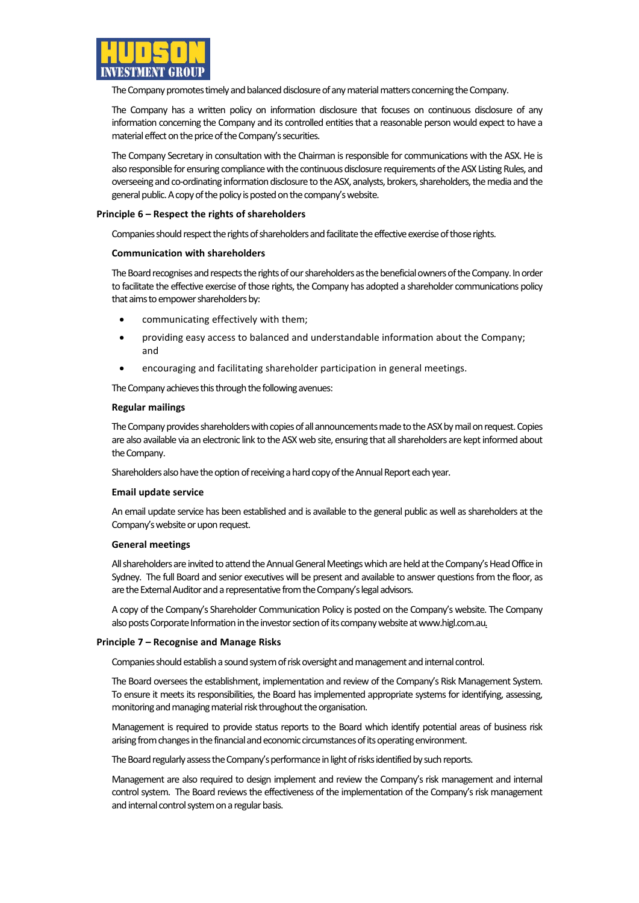

The Company promotes timely and balanced disclosure of any material matters concerning the Company.

The Company has a written policy on information disclosure that focuses on continuous disclosure of any information concerning the Company and its controlled entitiesthat a reasonable person would expect to have a material effect on the price of the Company's securities.

The Company Secretary in consultation with the Chairman is responsible for communications with the ASX. He is also responsible for ensuring compliance with the continuous disclosure requirements of the ASX Listing Rules, and overseeing and co-ordinating information disclosure to the ASX, analysts, brokers, shareholders, the media and the general public. A copy of the policy is posted on the company's website.

## **Principle 6 – Respect the rights of shareholders**

Companies should respect the rights of shareholders and facilitate the effective exercise of those rights.

## **Communication with shareholders**

The Board recognises and respects the rights of our shareholders as the beneficial owners of the Company. In order to facilitate the effective exercise of those rights, the Company has adopted a shareholder communications policy that aims to empower shareholders by:

- communicating effectively with them;
- providing easy access to balanced and understandable information about the Company; and
- encouraging and facilitating shareholder participation in general meetings.

The Company achieves this through the following avenues:

## **Regular mailings**

The Company provides shareholders with copies of all announcements made to the ASX by mail on request. Copies are also available via an electronic link to the ASX web site, ensuring that all shareholders are kept informed about the Company.

Shareholders also have the option of receiving a hard copy of the Annual Report each year.

#### **Email update service**

An email update service has been established and is available to the general public as well as shareholders at the Company's website or upon request.

#### **General meetings**

All shareholders are invited to attend the Annual General Meetings which are held at the Company's Head Office in Sydney. The full Board and senior executives will be present and available to answer questions from the floor, as are the External Auditor and a representative from the Company's legal advisors.

A copy ofthe Company's Shareholder Communication Policy is posted on the Company's website. The Company also posts Corporate Information in the investor section of its company website at www.higl.com.au.

#### **Principle 7 – Recognise and Manage Risks**

Companies should establish a sound system of risk oversight and management and internal control.

The Board oversees the establishment, implementation and review of the Company's Risk Management System. To ensure it meets its responsibilities, the Board has implemented appropriate systems for identifying, assessing, monitoring and managing material risk throughout the organisation.

Management is required to provide status reports to the Board which identify potential areas of business risk arising from changes in the financial and economic circumstances of its operating environment.

The Board regularly assess the Company's performance in light of risks identified by such reports.

Management are also required to design implement and review the Company's risk management and internal control system. The Board reviews the effectiveness of the implementation of the Company's risk management and internal control system on a regular basis.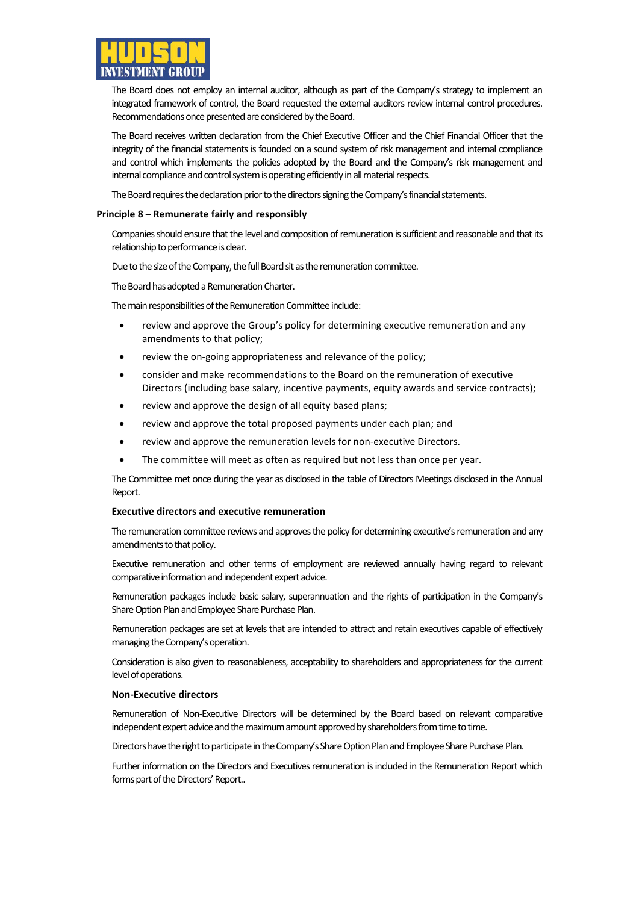

The Board does not employ an internal auditor, although as part of the Company's strategy to implement an integrated framework of control, the Board requested the external auditors review internal control procedures. Recommendations once presented are considered by the Board.

The Board receives written declaration from the Chief Executive Officer and the Chief Financial Officer that the integrity of the financial statements is founded on a sound system of risk management and internal compliance and control which implements the policies adopted by the Board and the Company's risk management and internal compliance and control system is operating efficiently in all material respects.

The Board requires the declaration prior to the directors signing the Company's financial statements.

#### **Principle 8 – Remunerate fairly and responsibly**

Companies should ensure that the level and composition of remuneration is sufficient and reasonable and that its relationship to performance is clear.

Due to the size of the Company, the full Board sit as the remuneration committee.

The Board has adopted a Remuneration Charter.

The main responsibilities of the Remuneration Committee include:

- review and approve the Group's policy for determining executive remuneration and any amendments to that policy;
- review the on-going appropriateness and relevance of the policy;
- consider and make recommendations to the Board on the remuneration of executive Directors (including base salary, incentive payments, equity awards and service contracts);
- review and approve the design of all equity based plans;
- review and approve the total proposed payments under each plan; and
- review and approve the remuneration levels for non-executive Directors.
- The committee will meet as often as required but not less than once per year.

The Committee met once during the year as disclosed in the table of Directors Meetings disclosed in the Annual Report.

#### **Executive directors and executive remuneration**

The remuneration committee reviews and approves the policy for determining executive's remuneration and any amendments to that policy.

Executive remuneration and other terms of employment are reviewed annually having regard to relevant comparative information and independent expert advice.

Remuneration packages include basic salary, superannuation and the rights of participation in the Company's Share Option Plan and Employee Share Purchase Plan.

Remuneration packages are set at levels that are intended to attract and retain executives capable of effectively managing the Company's operation.

Consideration is also given to reasonableness, acceptability to shareholders and appropriateness for the current level of operations.

#### **Non-Executive directors**

Remuneration of Non-Executive Directors will be determined by the Board based on relevant comparative independent expert advice and the maximum amount approved by shareholders from time to time.

Directors have the right to participate in the Company's Share Option Plan and Employee Share Purchase Plan.

Further information on the Directors and Executives remuneration is included in the Remuneration Report which forms part of the Directors' Report..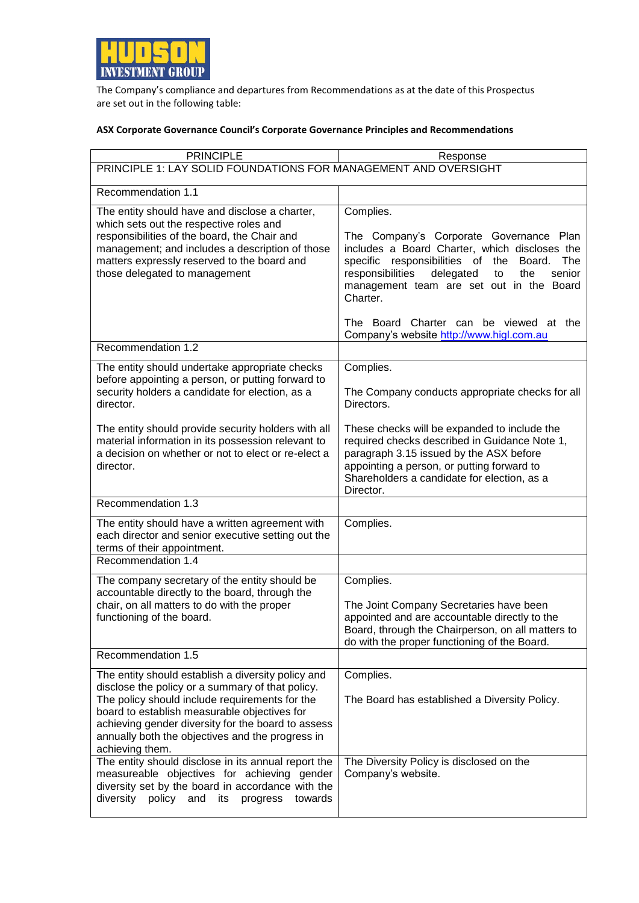

The Company's compliance and departures from Recommendations as at the date of this Prospectus are set out in the following table:

## **ASX Corporate Governance Council's Corporate Governance Principles and Recommendations**

| <b>PRINCIPLE</b>                                                                                                                                                                                                                                                                                                                      | Response                                                                                                                                                                                                                                                                                                             |  |  |
|---------------------------------------------------------------------------------------------------------------------------------------------------------------------------------------------------------------------------------------------------------------------------------------------------------------------------------------|----------------------------------------------------------------------------------------------------------------------------------------------------------------------------------------------------------------------------------------------------------------------------------------------------------------------|--|--|
| PRINCIPLE 1: LAY SOLID FOUNDATIONS FOR MANAGEMENT AND OVERSIGHT                                                                                                                                                                                                                                                                       |                                                                                                                                                                                                                                                                                                                      |  |  |
| Recommendation 1.1                                                                                                                                                                                                                                                                                                                    |                                                                                                                                                                                                                                                                                                                      |  |  |
| The entity should have and disclose a charter,<br>which sets out the respective roles and<br>responsibilities of the board, the Chair and<br>management; and includes a description of those<br>matters expressly reserved to the board and<br>those delegated to management                                                          | Complies.<br>The Company's Corporate Governance Plan<br>includes a Board Charter, which discloses the<br>specific responsibilities of the<br>The<br>Board.<br>responsibilities<br>delegated<br>the<br>senior<br>to<br>management team are set out in the Board<br>Charter.<br>The Board Charter can be viewed at the |  |  |
|                                                                                                                                                                                                                                                                                                                                       | Company's website http://www.higl.com.au                                                                                                                                                                                                                                                                             |  |  |
| Recommendation 1.2                                                                                                                                                                                                                                                                                                                    |                                                                                                                                                                                                                                                                                                                      |  |  |
| The entity should undertake appropriate checks<br>before appointing a person, or putting forward to<br>security holders a candidate for election, as a<br>director.                                                                                                                                                                   | Complies.<br>The Company conducts appropriate checks for all<br>Directors.                                                                                                                                                                                                                                           |  |  |
| The entity should provide security holders with all<br>material information in its possession relevant to<br>a decision on whether or not to elect or re-elect a<br>director.                                                                                                                                                         | These checks will be expanded to include the<br>required checks described in Guidance Note 1,<br>paragraph 3.15 issued by the ASX before<br>appointing a person, or putting forward to<br>Shareholders a candidate for election, as a<br>Director.                                                                   |  |  |
| Recommendation 1.3                                                                                                                                                                                                                                                                                                                    |                                                                                                                                                                                                                                                                                                                      |  |  |
| The entity should have a written agreement with<br>each director and senior executive setting out the<br>terms of their appointment.                                                                                                                                                                                                  | Complies.                                                                                                                                                                                                                                                                                                            |  |  |
| Recommendation 1.4                                                                                                                                                                                                                                                                                                                    |                                                                                                                                                                                                                                                                                                                      |  |  |
| The company secretary of the entity should be<br>accountable directly to the board, through the                                                                                                                                                                                                                                       | Complies.                                                                                                                                                                                                                                                                                                            |  |  |
| chair, on all matters to do with the proper<br>functioning of the board.                                                                                                                                                                                                                                                              | The Joint Company Secretaries have been<br>appointed and are accountable directly to the<br>Board, through the Chairperson, on all matters to<br>do with the proper functioning of the Board.                                                                                                                        |  |  |
| Recommendation 1.5                                                                                                                                                                                                                                                                                                                    |                                                                                                                                                                                                                                                                                                                      |  |  |
| The entity should establish a diversity policy and<br>disclose the policy or a summary of that policy.<br>The policy should include requirements for the<br>board to establish measurable objectives for<br>achieving gender diversity for the board to assess<br>annually both the objectives and the progress in<br>achieving them. | Complies.<br>The Board has established a Diversity Policy.                                                                                                                                                                                                                                                           |  |  |
| The entity should disclose in its annual report the<br>measureable objectives for achieving gender<br>diversity set by the board in accordance with the<br>diversity policy and its<br>progress<br>towards                                                                                                                            | The Diversity Policy is disclosed on the<br>Company's website.                                                                                                                                                                                                                                                       |  |  |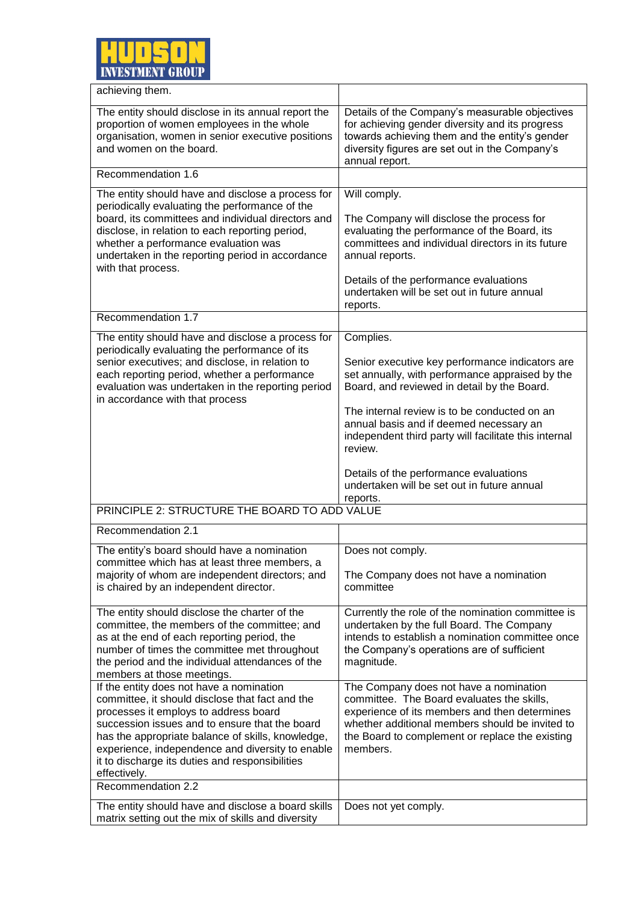

| achieving them.                                                                                                                                                                                                                                                                                                                                                                          |                                                                                                                                                                                                                                                                                                                                                                                                                                    |
|------------------------------------------------------------------------------------------------------------------------------------------------------------------------------------------------------------------------------------------------------------------------------------------------------------------------------------------------------------------------------------------|------------------------------------------------------------------------------------------------------------------------------------------------------------------------------------------------------------------------------------------------------------------------------------------------------------------------------------------------------------------------------------------------------------------------------------|
| The entity should disclose in its annual report the<br>proportion of women employees in the whole<br>organisation, women in senior executive positions<br>and women on the board.                                                                                                                                                                                                        | Details of the Company's measurable objectives<br>for achieving gender diversity and its progress<br>towards achieving them and the entity's gender<br>diversity figures are set out in the Company's<br>annual report.                                                                                                                                                                                                            |
| Recommendation 1.6                                                                                                                                                                                                                                                                                                                                                                       |                                                                                                                                                                                                                                                                                                                                                                                                                                    |
| The entity should have and disclose a process for<br>periodically evaluating the performance of the<br>board, its committees and individual directors and<br>disclose, in relation to each reporting period,<br>whether a performance evaluation was<br>undertaken in the reporting period in accordance<br>with that process.                                                           | Will comply.<br>The Company will disclose the process for<br>evaluating the performance of the Board, its<br>committees and individual directors in its future<br>annual reports.<br>Details of the performance evaluations<br>undertaken will be set out in future annual<br>reports.                                                                                                                                             |
| Recommendation 1.7                                                                                                                                                                                                                                                                                                                                                                       |                                                                                                                                                                                                                                                                                                                                                                                                                                    |
| The entity should have and disclose a process for<br>periodically evaluating the performance of its<br>senior executives; and disclose, in relation to<br>each reporting period, whether a performance<br>evaluation was undertaken in the reporting period<br>in accordance with that process                                                                                           | Complies.<br>Senior executive key performance indicators are<br>set annually, with performance appraised by the<br>Board, and reviewed in detail by the Board.<br>The internal review is to be conducted on an<br>annual basis and if deemed necessary an<br>independent third party will facilitate this internal<br>review.<br>Details of the performance evaluations<br>undertaken will be set out in future annual<br>reports. |
| PRINCIPLE 2: STRUCTURE THE BOARD TO ADD VALUE                                                                                                                                                                                                                                                                                                                                            |                                                                                                                                                                                                                                                                                                                                                                                                                                    |
| Recommendation 2.1                                                                                                                                                                                                                                                                                                                                                                       |                                                                                                                                                                                                                                                                                                                                                                                                                                    |
| The entity's board should have a nomination<br>committee which has at least three members, a<br>majority of whom are independent directors; and<br>is chaired by an independent director.                                                                                                                                                                                                | Does not comply.<br>The Company does not have a nomination<br>committee                                                                                                                                                                                                                                                                                                                                                            |
| The entity should disclose the charter of the<br>committee, the members of the committee; and<br>as at the end of each reporting period, the<br>number of times the committee met throughout<br>the period and the individual attendances of the<br>members at those meetings.                                                                                                           | Currently the role of the nomination committee is<br>undertaken by the full Board. The Company<br>intends to establish a nomination committee once<br>the Company's operations are of sufficient<br>magnitude.                                                                                                                                                                                                                     |
| If the entity does not have a nomination<br>committee, it should disclose that fact and the<br>processes it employs to address board<br>succession issues and to ensure that the board<br>has the appropriate balance of skills, knowledge,<br>experience, independence and diversity to enable<br>it to discharge its duties and responsibilities<br>effectively.<br>Recommendation 2.2 | The Company does not have a nomination<br>committee. The Board evaluates the skills,<br>experience of its members and then determines<br>whether additional members should be invited to<br>the Board to complement or replace the existing<br>members.                                                                                                                                                                            |
|                                                                                                                                                                                                                                                                                                                                                                                          |                                                                                                                                                                                                                                                                                                                                                                                                                                    |
| The entity should have and disclose a board skills<br>matrix setting out the mix of skills and diversity                                                                                                                                                                                                                                                                                 | Does not yet comply.                                                                                                                                                                                                                                                                                                                                                                                                               |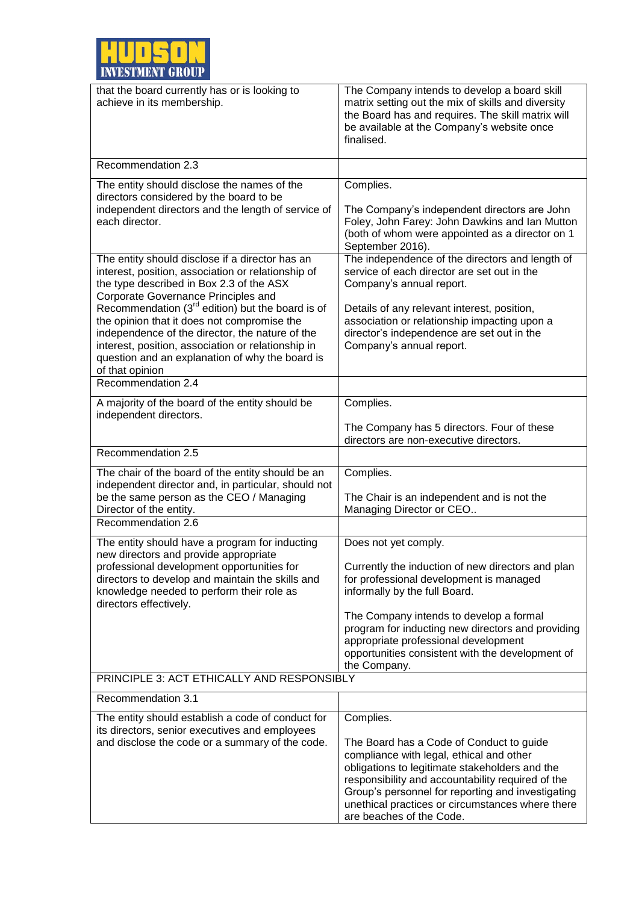

| that the board currently has or is looking to<br>achieve in its membership.                                                                                                                                                                                                                                                                                                                               | The Company intends to develop a board skill<br>matrix setting out the mix of skills and diversity<br>the Board has and requires. The skill matrix will<br>be available at the Company's website once<br>finalised.                                                                                                                                               |  |
|-----------------------------------------------------------------------------------------------------------------------------------------------------------------------------------------------------------------------------------------------------------------------------------------------------------------------------------------------------------------------------------------------------------|-------------------------------------------------------------------------------------------------------------------------------------------------------------------------------------------------------------------------------------------------------------------------------------------------------------------------------------------------------------------|--|
| Recommendation 2.3                                                                                                                                                                                                                                                                                                                                                                                        |                                                                                                                                                                                                                                                                                                                                                                   |  |
| The entity should disclose the names of the<br>directors considered by the board to be<br>independent directors and the length of service of<br>each director.                                                                                                                                                                                                                                            | Complies.<br>The Company's independent directors are John<br>Foley, John Farey: John Dawkins and Ian Mutton<br>(both of whom were appointed as a director on 1<br>September 2016).                                                                                                                                                                                |  |
| The entity should disclose if a director has an<br>interest, position, association or relationship of<br>the type described in Box 2.3 of the ASX<br>Corporate Governance Principles and<br>Recommendation $(3^{rd}$ edition) but the board is of<br>the opinion that it does not compromise the<br>independence of the director, the nature of the<br>interest, position, association or relationship in | The independence of the directors and length of<br>service of each director are set out in the<br>Company's annual report.<br>Details of any relevant interest, position,<br>association or relationship impacting upon a<br>director's independence are set out in the<br>Company's annual report.                                                               |  |
| question and an explanation of why the board is<br>of that opinion<br>Recommendation 2.4                                                                                                                                                                                                                                                                                                                  |                                                                                                                                                                                                                                                                                                                                                                   |  |
|                                                                                                                                                                                                                                                                                                                                                                                                           |                                                                                                                                                                                                                                                                                                                                                                   |  |
| A majority of the board of the entity should be<br>independent directors.                                                                                                                                                                                                                                                                                                                                 | Complies.                                                                                                                                                                                                                                                                                                                                                         |  |
|                                                                                                                                                                                                                                                                                                                                                                                                           | The Company has 5 directors. Four of these<br>directors are non-executive directors.                                                                                                                                                                                                                                                                              |  |
| Recommendation 2.5                                                                                                                                                                                                                                                                                                                                                                                        |                                                                                                                                                                                                                                                                                                                                                                   |  |
| The chair of the board of the entity should be an<br>independent director and, in particular, should not<br>be the same person as the CEO / Managing<br>Director of the entity.                                                                                                                                                                                                                           | Complies.<br>The Chair is an independent and is not the<br>Managing Director or CEO                                                                                                                                                                                                                                                                               |  |
| Recommendation 2.6                                                                                                                                                                                                                                                                                                                                                                                        |                                                                                                                                                                                                                                                                                                                                                                   |  |
| The entity should have a program for inducting<br>new directors and provide appropriate<br>professional development opportunities for<br>directors to develop and maintain the skills and<br>knowledge needed to perform their role as<br>directors effectively.                                                                                                                                          | Does not yet comply.<br>Currently the induction of new directors and plan<br>for professional development is managed<br>informally by the full Board.<br>The Company intends to develop a formal<br>program for inducting new directors and providing<br>appropriate professional development<br>opportunities consistent with the development of<br>the Company. |  |
| PRINCIPLE 3: ACT ETHICALLY AND RESPONSIBLY                                                                                                                                                                                                                                                                                                                                                                |                                                                                                                                                                                                                                                                                                                                                                   |  |
| Recommendation 3.1                                                                                                                                                                                                                                                                                                                                                                                        |                                                                                                                                                                                                                                                                                                                                                                   |  |
| The entity should establish a code of conduct for<br>its directors, senior executives and employees<br>and disclose the code or a summary of the code.                                                                                                                                                                                                                                                    | Complies.<br>The Board has a Code of Conduct to guide<br>compliance with legal, ethical and other<br>obligations to legitimate stakeholders and the<br>responsibility and accountability required of the<br>Group's personnel for reporting and investigating<br>unethical practices or circumstances where there<br>are beaches of the Code.                     |  |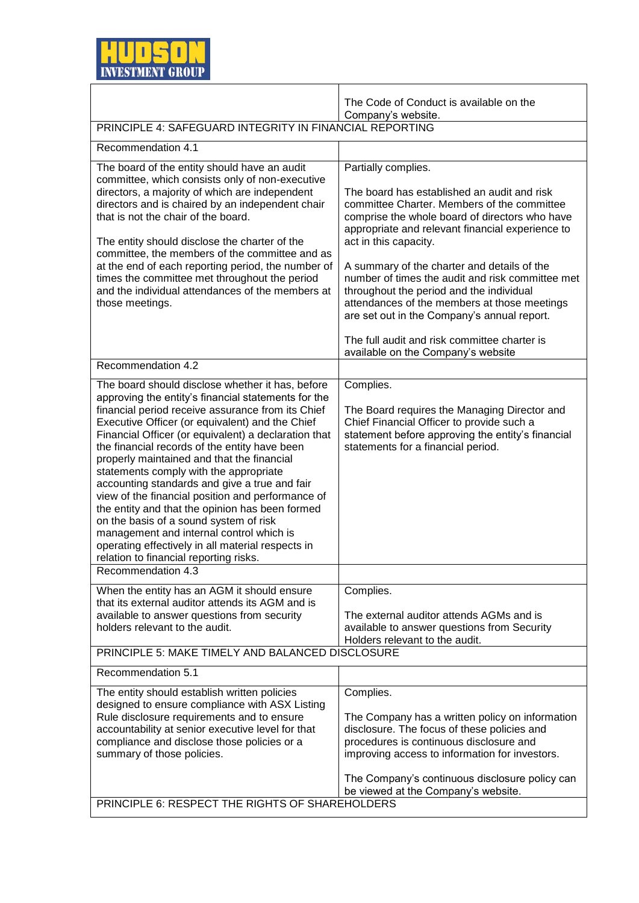

|                                                                                                                                                                                                                                                                                                                                                                                                                                                                                                                                                                                                                                                                                                                                                                | The Code of Conduct is available on the                                                                                                                                                                                                                                                                                                                                                         |  |
|----------------------------------------------------------------------------------------------------------------------------------------------------------------------------------------------------------------------------------------------------------------------------------------------------------------------------------------------------------------------------------------------------------------------------------------------------------------------------------------------------------------------------------------------------------------------------------------------------------------------------------------------------------------------------------------------------------------------------------------------------------------|-------------------------------------------------------------------------------------------------------------------------------------------------------------------------------------------------------------------------------------------------------------------------------------------------------------------------------------------------------------------------------------------------|--|
| PRINCIPLE 4: SAFEGUARD INTEGRITY IN FINANCIAL REPORTING                                                                                                                                                                                                                                                                                                                                                                                                                                                                                                                                                                                                                                                                                                        | Company's website.                                                                                                                                                                                                                                                                                                                                                                              |  |
| Recommendation 4.1                                                                                                                                                                                                                                                                                                                                                                                                                                                                                                                                                                                                                                                                                                                                             |                                                                                                                                                                                                                                                                                                                                                                                                 |  |
| The board of the entity should have an audit<br>committee, which consists only of non-executive<br>directors, a majority of which are independent<br>directors and is chaired by an independent chair<br>that is not the chair of the board.<br>The entity should disclose the charter of the<br>committee, the members of the committee and as<br>at the end of each reporting period, the number of<br>times the committee met throughout the period<br>and the individual attendances of the members at<br>those meetings.                                                                                                                                                                                                                                  | Partially complies.<br>The board has established an audit and risk<br>committee Charter. Members of the committee<br>comprise the whole board of directors who have<br>appropriate and relevant financial experience to<br>act in this capacity.<br>A summary of the charter and details of the<br>number of times the audit and risk committee met<br>throughout the period and the individual |  |
|                                                                                                                                                                                                                                                                                                                                                                                                                                                                                                                                                                                                                                                                                                                                                                | attendances of the members at those meetings<br>are set out in the Company's annual report.<br>The full audit and risk committee charter is<br>available on the Company's website                                                                                                                                                                                                               |  |
| Recommendation 4.2                                                                                                                                                                                                                                                                                                                                                                                                                                                                                                                                                                                                                                                                                                                                             |                                                                                                                                                                                                                                                                                                                                                                                                 |  |
| The board should disclose whether it has, before<br>approving the entity's financial statements for the<br>financial period receive assurance from its Chief<br>Executive Officer (or equivalent) and the Chief<br>Financial Officer (or equivalent) a declaration that<br>the financial records of the entity have been<br>properly maintained and that the financial<br>statements comply with the appropriate<br>accounting standards and give a true and fair<br>view of the financial position and performance of<br>the entity and that the opinion has been formed<br>on the basis of a sound system of risk<br>management and internal control which is<br>operating effectively in all material respects in<br>relation to financial reporting risks. | Complies.<br>The Board requires the Managing Director and<br>Chief Financial Officer to provide such a<br>statement before approving the entity's financial<br>statements for a financial period.                                                                                                                                                                                               |  |
| Recommendation 4.3                                                                                                                                                                                                                                                                                                                                                                                                                                                                                                                                                                                                                                                                                                                                             |                                                                                                                                                                                                                                                                                                                                                                                                 |  |
| When the entity has an AGM it should ensure<br>that its external auditor attends its AGM and is<br>available to answer questions from security<br>holders relevant to the audit.                                                                                                                                                                                                                                                                                                                                                                                                                                                                                                                                                                               | Complies.<br>The external auditor attends AGMs and is<br>available to answer questions from Security<br>Holders relevant to the audit.                                                                                                                                                                                                                                                          |  |
| PRINCIPLE 5: MAKE TIMELY AND BALANCED DISCLOSURE                                                                                                                                                                                                                                                                                                                                                                                                                                                                                                                                                                                                                                                                                                               |                                                                                                                                                                                                                                                                                                                                                                                                 |  |
| Recommendation 5.1                                                                                                                                                                                                                                                                                                                                                                                                                                                                                                                                                                                                                                                                                                                                             |                                                                                                                                                                                                                                                                                                                                                                                                 |  |
| The entity should establish written policies<br>designed to ensure compliance with ASX Listing<br>Rule disclosure requirements and to ensure<br>accountability at senior executive level for that<br>compliance and disclose those policies or a<br>summary of those policies.                                                                                                                                                                                                                                                                                                                                                                                                                                                                                 | Complies.<br>The Company has a written policy on information<br>disclosure. The focus of these policies and<br>procedures is continuous disclosure and<br>improving access to information for investors.                                                                                                                                                                                        |  |
| PRINCIPLE 6: RESPECT THE RIGHTS OF SHAREHOLDERS                                                                                                                                                                                                                                                                                                                                                                                                                                                                                                                                                                                                                                                                                                                | The Company's continuous disclosure policy can<br>be viewed at the Company's website.                                                                                                                                                                                                                                                                                                           |  |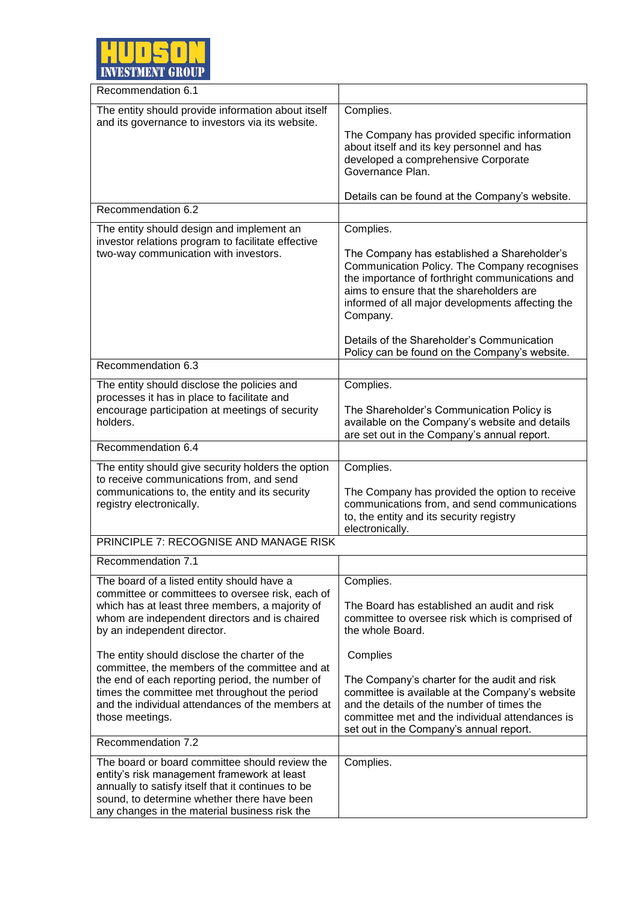

| Recommendation 6.1                                                                                                                                                                                                                                                                                                                                                                                                                                                                                              |                                                                                                                                                                                                                                                                                                                                                 |
|-----------------------------------------------------------------------------------------------------------------------------------------------------------------------------------------------------------------------------------------------------------------------------------------------------------------------------------------------------------------------------------------------------------------------------------------------------------------------------------------------------------------|-------------------------------------------------------------------------------------------------------------------------------------------------------------------------------------------------------------------------------------------------------------------------------------------------------------------------------------------------|
| The entity should provide information about itself                                                                                                                                                                                                                                                                                                                                                                                                                                                              | Complies.                                                                                                                                                                                                                                                                                                                                       |
| and its governance to investors via its website.                                                                                                                                                                                                                                                                                                                                                                                                                                                                | The Company has provided specific information<br>about itself and its key personnel and has<br>developed a comprehensive Corporate<br>Governance Plan.                                                                                                                                                                                          |
|                                                                                                                                                                                                                                                                                                                                                                                                                                                                                                                 | Details can be found at the Company's website.                                                                                                                                                                                                                                                                                                  |
| Recommendation 6.2                                                                                                                                                                                                                                                                                                                                                                                                                                                                                              |                                                                                                                                                                                                                                                                                                                                                 |
| The entity should design and implement an<br>investor relations program to facilitate effective<br>two-way communication with investors.                                                                                                                                                                                                                                                                                                                                                                        | Complies.<br>The Company has established a Shareholder's<br>Communication Policy. The Company recognises<br>the importance of forthright communications and<br>aims to ensure that the shareholders are<br>informed of all major developments affecting the<br>Company.<br>Details of the Shareholder's Communication                           |
| Recommendation 6.3                                                                                                                                                                                                                                                                                                                                                                                                                                                                                              | Policy can be found on the Company's website.                                                                                                                                                                                                                                                                                                   |
| The entity should disclose the policies and                                                                                                                                                                                                                                                                                                                                                                                                                                                                     | Complies.                                                                                                                                                                                                                                                                                                                                       |
| processes it has in place to facilitate and<br>encourage participation at meetings of security<br>holders.                                                                                                                                                                                                                                                                                                                                                                                                      | The Shareholder's Communication Policy is<br>available on the Company's website and details<br>are set out in the Company's annual report.                                                                                                                                                                                                      |
| Recommendation 6.4                                                                                                                                                                                                                                                                                                                                                                                                                                                                                              |                                                                                                                                                                                                                                                                                                                                                 |
| The entity should give security holders the option<br>to receive communications from, and send<br>communications to, the entity and its security<br>registry electronically.                                                                                                                                                                                                                                                                                                                                    | Complies.<br>The Company has provided the option to receive<br>communications from, and send communications<br>to, the entity and its security registry<br>electronically.                                                                                                                                                                      |
| PRINCIPLE 7: RECOGNISE AND MANAGE RISK                                                                                                                                                                                                                                                                                                                                                                                                                                                                          |                                                                                                                                                                                                                                                                                                                                                 |
| Recommendation 7.1                                                                                                                                                                                                                                                                                                                                                                                                                                                                                              |                                                                                                                                                                                                                                                                                                                                                 |
| The board of a listed entity should have a<br>committee or committees to oversee risk, each of<br>which has at least three members, a majority of<br>whom are independent directors and is chaired<br>by an independent director.<br>The entity should disclose the charter of the<br>committee, the members of the committee and at<br>the end of each reporting period, the number of<br>times the committee met throughout the period<br>and the individual attendances of the members at<br>those meetings. | Complies.<br>The Board has established an audit and risk<br>committee to oversee risk which is comprised of<br>the whole Board.<br>Complies<br>The Company's charter for the audit and risk<br>committee is available at the Company's website<br>and the details of the number of times the<br>committee met and the individual attendances is |
| Recommendation 7.2                                                                                                                                                                                                                                                                                                                                                                                                                                                                                              | set out in the Company's annual report.                                                                                                                                                                                                                                                                                                         |
| The board or board committee should review the<br>entity's risk management framework at least<br>annually to satisfy itself that it continues to be<br>sound, to determine whether there have been<br>any changes in the material business risk the                                                                                                                                                                                                                                                             | Complies.                                                                                                                                                                                                                                                                                                                                       |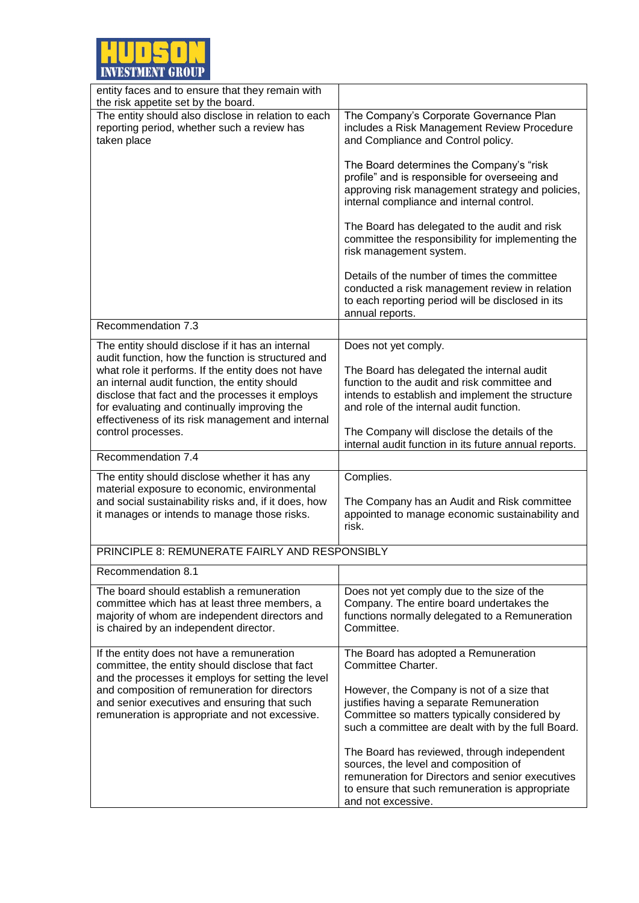

| entity faces and to ensure that they remain with<br>the risk appetite set by the board.                                                                                                                                                                                                                                                 |                                                                                                                                                                                                                                            |
|-----------------------------------------------------------------------------------------------------------------------------------------------------------------------------------------------------------------------------------------------------------------------------------------------------------------------------------------|--------------------------------------------------------------------------------------------------------------------------------------------------------------------------------------------------------------------------------------------|
| The entity should also disclose in relation to each<br>reporting period, whether such a review has<br>taken place                                                                                                                                                                                                                       | The Company's Corporate Governance Plan<br>includes a Risk Management Review Procedure<br>and Compliance and Control policy.                                                                                                               |
|                                                                                                                                                                                                                                                                                                                                         | The Board determines the Company's "risk<br>profile" and is responsible for overseeing and<br>approving risk management strategy and policies,<br>internal compliance and internal control.                                                |
|                                                                                                                                                                                                                                                                                                                                         | The Board has delegated to the audit and risk<br>committee the responsibility for implementing the<br>risk management system.                                                                                                              |
|                                                                                                                                                                                                                                                                                                                                         | Details of the number of times the committee<br>conducted a risk management review in relation<br>to each reporting period will be disclosed in its<br>annual reports.                                                                     |
| Recommendation 7.3                                                                                                                                                                                                                                                                                                                      |                                                                                                                                                                                                                                            |
| The entity should disclose if it has an internal                                                                                                                                                                                                                                                                                        | Does not yet comply.                                                                                                                                                                                                                       |
| audit function, how the function is structured and<br>what role it performs. If the entity does not have<br>an internal audit function, the entity should<br>disclose that fact and the processes it employs<br>for evaluating and continually improving the<br>effectiveness of its risk management and internal<br>control processes. | The Board has delegated the internal audit<br>function to the audit and risk committee and<br>intends to establish and implement the structure<br>and role of the internal audit function.<br>The Company will disclose the details of the |
|                                                                                                                                                                                                                                                                                                                                         | internal audit function in its future annual reports.                                                                                                                                                                                      |
| Recommendation 7.4                                                                                                                                                                                                                                                                                                                      |                                                                                                                                                                                                                                            |
| The entity should disclose whether it has any                                                                                                                                                                                                                                                                                           | Complies.                                                                                                                                                                                                                                  |
| material exposure to economic, environmental<br>and social sustainability risks and, if it does, how<br>it manages or intends to manage those risks.                                                                                                                                                                                    | The Company has an Audit and Risk committee<br>appointed to manage economic sustainability and<br>risk.                                                                                                                                    |
| PRINCIPLE 8: REMUNERATE FAIRLY AND RESPONSIBLY                                                                                                                                                                                                                                                                                          |                                                                                                                                                                                                                                            |
| Recommendation 8.1                                                                                                                                                                                                                                                                                                                      |                                                                                                                                                                                                                                            |
| The board should establish a remuneration<br>committee which has at least three members, a<br>majority of whom are independent directors and<br>is chaired by an independent director.                                                                                                                                                  | Does not yet comply due to the size of the<br>Company. The entire board undertakes the<br>functions normally delegated to a Remuneration<br>Committee.                                                                                     |
| If the entity does not have a remuneration                                                                                                                                                                                                                                                                                              | The Board has adopted a Remuneration<br>Committee Charter.                                                                                                                                                                                 |
| committee, the entity should disclose that fact<br>and the processes it employs for setting the level                                                                                                                                                                                                                                   |                                                                                                                                                                                                                                            |
| and composition of remuneration for directors                                                                                                                                                                                                                                                                                           | However, the Company is not of a size that                                                                                                                                                                                                 |
| and senior executives and ensuring that such<br>remuneration is appropriate and not excessive.                                                                                                                                                                                                                                          | justifies having a separate Remuneration<br>Committee so matters typically considered by<br>such a committee are dealt with by the full Board.                                                                                             |
|                                                                                                                                                                                                                                                                                                                                         | The Board has reviewed, through independent<br>sources, the level and composition of<br>remuneration for Directors and senior executives<br>to ensure that such remuneration is appropriate<br>and not excessive.                          |